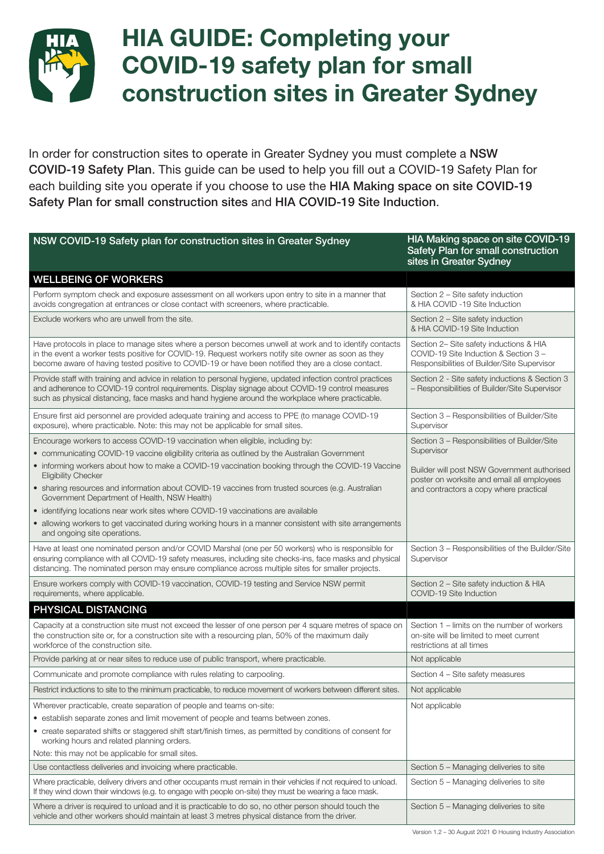

## HIA GUIDE: Completing your COVID-19 safety plan for small construction sites in Greater Sydney

In order for construction sites to operate in Greater Sydney you must complete a NSW COVID-19 Safety Plan. This guide can be used to help you fill out a COVID-19 Safety Plan for each building site you operate if you choose to use the HIA Making space on site COVID-19 Safety Plan for small construction sites and HIA COVID-19 Site Induction.

| NSW COVID-19 Safety plan for construction sites in Greater Sydney                                                                                                                                                                                                                                                      | HIA Making space on site COVID-19<br>Safety Plan for small construction<br>sites in Greater Sydney                              |
|------------------------------------------------------------------------------------------------------------------------------------------------------------------------------------------------------------------------------------------------------------------------------------------------------------------------|---------------------------------------------------------------------------------------------------------------------------------|
| <b>WELLBEING OF WORKERS</b>                                                                                                                                                                                                                                                                                            |                                                                                                                                 |
| Perform symptom check and exposure assessment on all workers upon entry to site in a manner that<br>avoids congregation at entrances or close contact with screeners, where practicable.                                                                                                                               | Section 2 – Site safety induction<br>& HIA COVID -19 Site Induction                                                             |
| Exclude workers who are unwell from the site.                                                                                                                                                                                                                                                                          | Section 2 - Site safety induction<br>& HIA COVID-19 Site Induction                                                              |
| Have protocols in place to manage sites where a person becomes unwell at work and to identify contacts<br>in the event a worker tests positive for COVID-19. Request workers notify site owner as soon as they<br>become aware of having tested positive to COVID-19 or have been notified they are a close contact.   | Section 2- Site safety inductions & HIA<br>COVID-19 Site Induction & Section 3 -<br>Responsibilities of Builder/Site Supervisor |
| Provide staff with training and advice in relation to personal hygiene, updated infection control practices<br>and adherence to COVID-19 control requirements. Display signage about COVID-19 control measures<br>such as physical distancing, face masks and hand hygiene around the workplace where practicable.     | Section 2 - Site safety inductions & Section 3<br>- Responsibilities of Builder/Site Supervisor                                 |
| Ensure first aid personnel are provided adequate training and access to PPE (to manage COVID-19<br>exposure), where practicable. Note: this may not be applicable for small sites.                                                                                                                                     | Section 3 - Responsibilities of Builder/Site<br>Supervisor                                                                      |
| Encourage workers to access COVID-19 vaccination when eligible, including by:<br>• communicating COVID-19 vaccine eligibility criteria as outlined by the Australian Government                                                                                                                                        | Section 3 - Responsibilities of Builder/Site<br>Supervisor                                                                      |
| • informing workers about how to make a COVID-19 vaccination booking through the COVID-19 Vaccine                                                                                                                                                                                                                      |                                                                                                                                 |
| <b>Eligibility Checker</b>                                                                                                                                                                                                                                                                                             | Builder will post NSW Government authorised<br>poster on worksite and email all employees                                       |
| • sharing resources and information about COVID-19 vaccines from trusted sources (e.g. Australian<br>Government Department of Health, NSW Health)                                                                                                                                                                      | and contractors a copy where practical                                                                                          |
| • identifying locations near work sites where COVID-19 vaccinations are available                                                                                                                                                                                                                                      |                                                                                                                                 |
| • allowing workers to get vaccinated during working hours in a manner consistent with site arrangements<br>and ongoing site operations.                                                                                                                                                                                |                                                                                                                                 |
| Have at least one nominated person and/or COVID Marshal (one per 50 workers) who is responsible for<br>ensuring compliance with all COVID-19 safety measures, including site checks-ins, face masks and physical<br>distancing. The nominated person may ensure compliance across multiple sites for smaller projects. | Section 3 - Responsibilities of the Builder/Site<br>Supervisor                                                                  |
| Ensure workers comply with COVID-19 vaccination, COVID-19 testing and Service NSW permit<br>requirements, where applicable.                                                                                                                                                                                            | Section 2 - Site safety induction & HIA<br>COVID-19 Site Induction                                                              |
| PHYSICAL DISTANCING                                                                                                                                                                                                                                                                                                    |                                                                                                                                 |
| Capacity at a construction site must not exceed the lesser of one person per 4 square metres of space on<br>the construction site or, for a construction site with a resourcing plan, 50% of the maximum daily<br>workforce of the construction site.                                                                  | Section 1 – limits on the number of workers<br>on-site will be limited to meet current<br>restrictions at all times             |
| Provide parking at or near sites to reduce use of public transport, where practicable.                                                                                                                                                                                                                                 | Not applicable                                                                                                                  |
| Communicate and promote compliance with rules relating to carpooling.                                                                                                                                                                                                                                                  | Section 4 – Site safety measures                                                                                                |
| Restrict inductions to site to the minimum practicable, to reduce movement of workers between different sites.                                                                                                                                                                                                         | Not applicable                                                                                                                  |
| Wherever practicable, create separation of people and teams on-site:                                                                                                                                                                                                                                                   | Not applicable                                                                                                                  |
| • establish separate zones and limit movement of people and teams between zones.                                                                                                                                                                                                                                       |                                                                                                                                 |
| • create separated shifts or staggered shift start/finish times, as permitted by conditions of consent for<br>working hours and related planning orders.                                                                                                                                                               |                                                                                                                                 |
| Note: this may not be applicable for small sites.                                                                                                                                                                                                                                                                      |                                                                                                                                 |
| Use contactless deliveries and invoicing where practicable.                                                                                                                                                                                                                                                            | Section 5 - Managing deliveries to site                                                                                         |
| Where practicable, delivery drivers and other occupants must remain in their vehicles if not required to unload.<br>If they wind down their windows (e.g. to engage with people on-site) they must be wearing a face mask.                                                                                             | Section 5 – Managing deliveries to site                                                                                         |
| Where a driver is required to unload and it is practicable to do so, no other person should touch the<br>vehicle and other workers should maintain at least 3 metres physical distance from the driver.                                                                                                                | Section 5 - Managing deliveries to site                                                                                         |